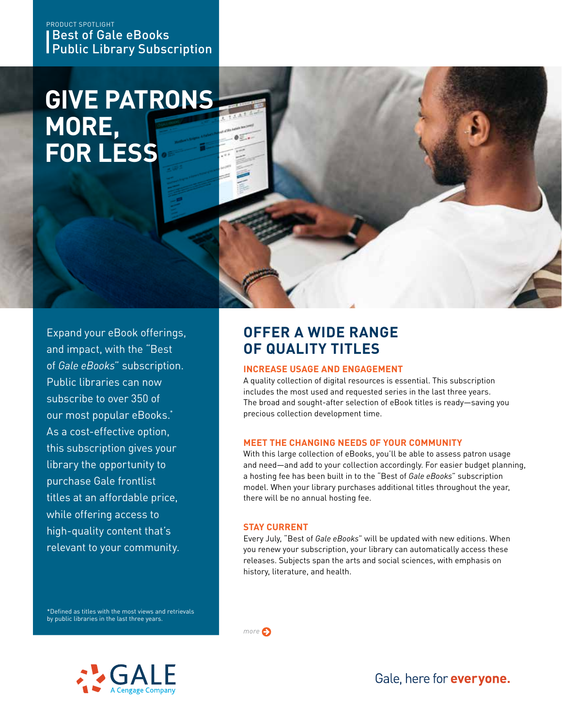### Best of Gale eBooks Public Library Subscription PRODUCT SPOTLIGHT

# **GIVE PATRONS MORE, FOR LESS**



Expand your eBook offerings, and impact, with the "Best of *Gale eBooks*" subscription. Public libraries can now subscribe to over 350 of our most popular eBooks.\* As a cost-effective option, this subscription gives your library the opportunity to purchase Gale frontlist titles at an affordable price, while offering access to high-quality content that's relevant to your community.

## **OFFER A WIDE RANGE OF QUALITY TITLES**

### **INCREASE USAGE AND ENGAGEMENT**

A quality collection of digital resources is essential. This subscription includes the most used and requested series in the last three years. The broad and sought-after selection of eBook titles is ready—saving you precious collection development time.

### **MEET THE CHANGING NEEDS OF YOUR COMMUNITY**

With this large collection of eBooks, you'll be able to assess patron usage and need—and add to your collection accordingly. For easier budget planning, a hosting fee has been built in to the "Best of *Gale eBooks*" subscription model. When your library purchases additional titles throughout the year, there will be no annual hosting fee.

### **STAY CURRENT**

*more*

Every July, "Best of *Gale eBooks*" will be updated with new editions. When you renew your subscription, your library can automatically access these releases. Subjects span the arts and social sciences, with emphasis on history, literature, and health.

\*Defined as titles with the most views and retrievals by public libraries in the last three years.



Gale, here for everyone.